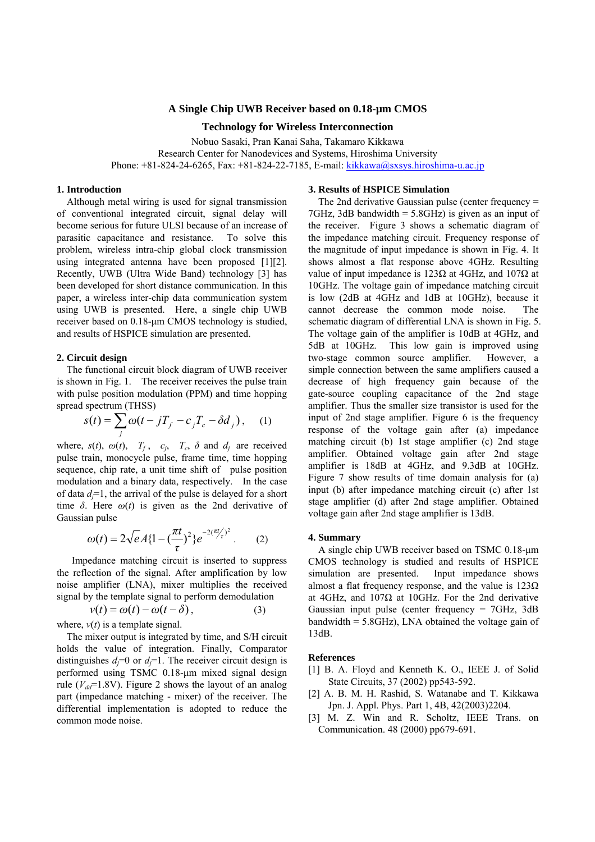# **A Single Chip UWB Receiver based on 0.18-µm CMOS**

## **Technology for Wireless Interconnection**

Nobuo Sasaki, Pran Kanai Saha, Takamaro Kikkawa Research Center for Nanodevices and Systems, Hiroshima University Phone: +81-824-24-6265, Fax: +81-824-22-7185, E-mail: [kikkawa@sxsys.hiroshima-u.ac.jp](mailto:kikkawa@sxsys.hiroshima-u.ac.jp)

### **1. Introduction**

Although metal wiring is used for signal transmission of conventional integrated circuit, signal delay will become serious for future ULSI because of an increase of parasitic capacitance and resistance. To solve this problem, wireless intra-chip global clock transmission using integrated antenna have been proposed [1][2]. Recently, UWB (Ultra Wide Band) technology [3] has been developed for short distance communication. In this paper, a wireless inter-chip data communication system using UWB is presented. Here, a single chip UWB receiver based on 0.18-µm CMOS technology is studied, and results of HSPICE simulation are presented.

### **2. Circuit design**

The functional circuit block diagram of UWB receiver is shown in Fig. 1. The receiver receives the pulse train with pulse position modulation (PPM) and time hopping spread spectrum (THSS)

$$
s(t) = \sum_{j} \omega(t - jT_f - c_j T_c - \delta d_j), \quad (1)
$$

where,  $s(t)$ ,  $\omega(t)$ ,  $T_f$ ,  $c_i$ ,  $T_c$ ,  $\delta$  and  $d_i$  are received pulse train, monocycle pulse, frame time, time hopping sequence, chip rate, a unit time shift of pulse position modulation and a binary data, respectively. In the case of data *dj*=1, the arrival of the pulse is delayed for a short time  $\delta$ . Here  $\omega(t)$  is given as the 2nd derivative of Gaussian pulse

$$
\omega(t) = 2\sqrt{e}A\{1 - \left(\frac{\pi t}{\tau}\right)^2\}e^{-2(\frac{\pi t}{\tau})^2}.
$$
 (2)

Impedance matching circuit is inserted to suppress the reflection of the signal. After amplification by low noise amplifier (LNA), mixer multiplies the received signal by the template signal to perform demodulation

$$
v(t) = \omega(t) - \omega(t - \delta),
$$
\n
$$
v(t) \text{ is a template signal.}
$$
\n(3)

where, *ν*(*t*) is a template signal.

The mixer output is integrated by time, and S/H circuit holds the value of integration. Finally, Comparator distinguishes  $d_i=0$  or  $d_i=1$ . The receiver circuit design is performed using TSMC 0.18-µm mixed signal design rule ( $V_{dd}$ =1.8V). Figure 2 shows the layout of an analog part (impedance matching - mixer) of the receiver. The differential implementation is adopted to reduce the common mode noise.

## **3. Results of HSPICE Simulation**

The 2nd derivative Gaussian pulse (center frequency = 7GHz, 3dB bandwidth = 5.8GHz) is given as an input of the receiver. Figure 3 shows a schematic diagram of the impedance matching circuit. Frequency response of the magnitude of input impedance is shown in Fig. 4. It shows almost a flat response above 4GHz. Resulting value of input impedance is 123 $Ω$  at 4GHz, and 107 $Ω$  at 10GHz. The voltage gain of impedance matching circuit is low (2dB at 4GHz and 1dB at 10GHz), because it cannot decrease the common mode noise. The schematic diagram of differential LNA is shown in Fig. 5. The voltage gain of the amplifier is 10dB at 4GHz, and 5dB at 10GHz. This low gain is improved using two-stage common source amplifier. However, a simple connection between the same amplifiers caused a decrease of high frequency gain because of the gate-source coupling capacitance of the 2nd stage amplifier. Thus the smaller size transistor is used for the input of 2nd stage amplifier. Figure 6 is the frequency response of the voltage gain after (a) impedance matching circuit (b) 1st stage amplifier (c) 2nd stage amplifier. Obtained voltage gain after 2nd stage amplifier is 18dB at 4GHz, and 9.3dB at 10GHz. Figure 7 show results of time domain analysis for (a) input (b) after impedance matching circuit (c) after 1st stage amplifier (d) after 2nd stage amplifier. Obtained voltage gain after 2nd stage amplifier is 13dB.

#### **4. Summary**

A single chip UWB receiver based on TSMC 0.18-µm CMOS technology is studied and results of HSPICE simulation are presented. Input impedance shows almost a flat frequency response, and the value is  $123\Omega$ at 4GHz, and  $107\Omega$  at 10GHz. For the 2nd derivative Gaussian input pulse (center frequency = 7GHz, 3dB bandwidth = 5.8GHz), LNA obtained the voltage gain of 13dB.

#### **References**

- [1] B. A. Floyd and Kenneth K. O., IEEE J. of Solid State Circuits, 37 (2002) pp543-592.
- [2] A. B. M. H. Rashid, S. Watanabe and T. Kikkawa Jpn. J. Appl. Phys. Part 1, 4B, 42(2003)2204.
- [3] M. Z. Win and R. Scholtz, IEEE Trans. on Communication. 48 (2000) pp679-691.